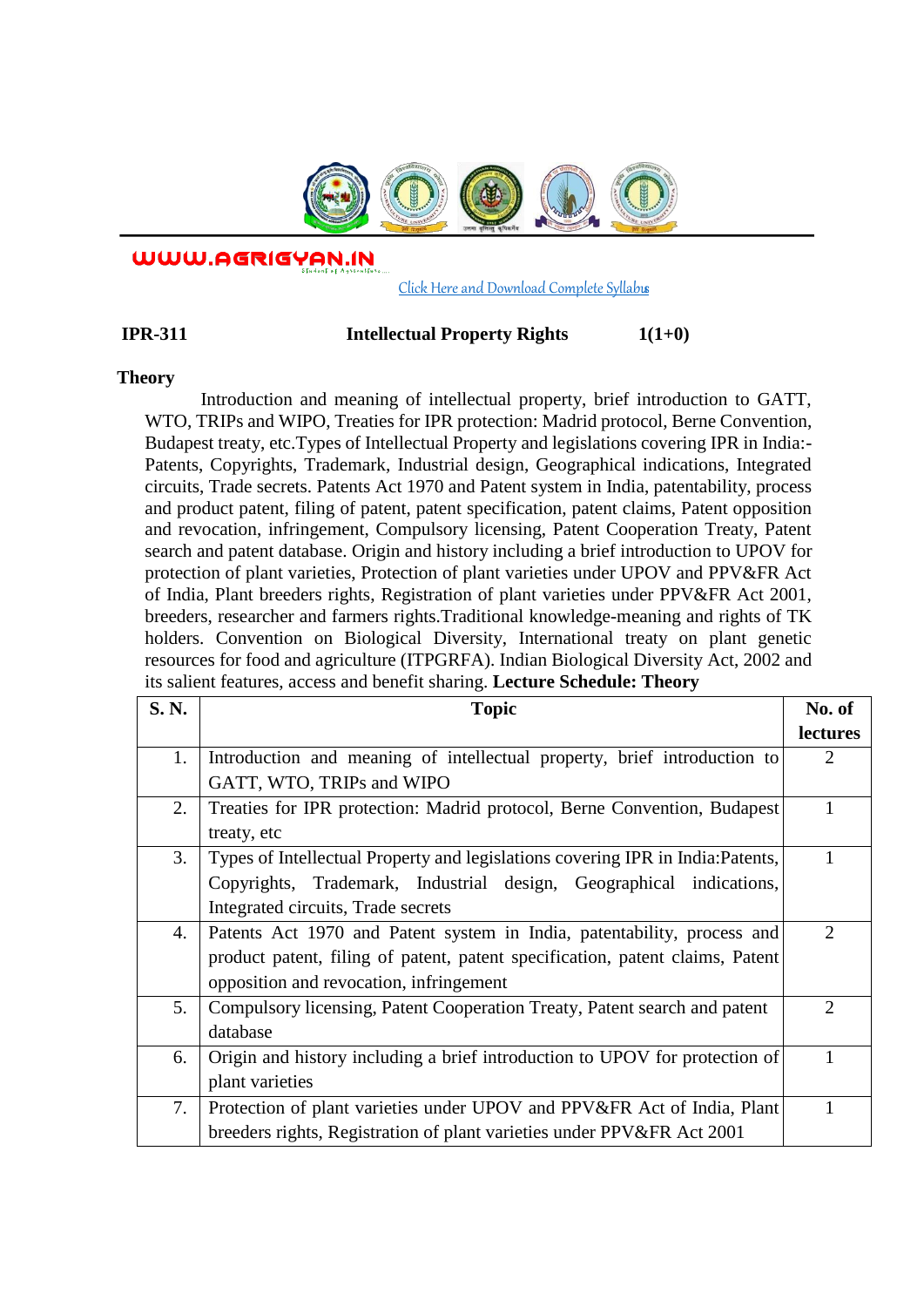

WWW.AGRIGYAN.IN

[Click Here and Download Complete Syllabus](http://agrigyan.in/)

## **IPR-311** Intellectual Property Rights  $1(1+0)$

## **Theory**

 $\overline{a}$ 

Introduction and meaning of intellectual property, brief introduction to GATT, WTO, TRIPs and WIPO, Treaties for IPR protection: Madrid protocol, Berne Convention, Budapest treaty, etc.Types of Intellectual Property and legislations covering IPR in India:- Patents, Copyrights, Trademark, Industrial design, Geographical indications, Integrated circuits, Trade secrets. Patents Act 1970 and Patent system in India, patentability, process and product patent, filing of patent, patent specification, patent claims, Patent opposition and revocation, infringement, Compulsory licensing, Patent Cooperation Treaty, Patent search and patent database. Origin and history including a brief introduction to UPOV for protection of plant varieties, Protection of plant varieties under UPOV and PPV&FR Act of India, Plant breeders rights, Registration of plant varieties under PPV&FR Act 2001, breeders, researcher and farmers rights.Traditional knowledge-meaning and rights of TK holders. Convention on Biological Diversity, International treaty on plant genetic resources for food and agriculture (ITPGRFA). Indian Biological Diversity Act, 2002 and its salient features, access and benefit sharing. **Lecture Schedule: Theory** 

| S. N. | <b>Topic</b>                                                                    | No. of                      |
|-------|---------------------------------------------------------------------------------|-----------------------------|
|       |                                                                                 | lectures                    |
| 1.    | Introduction and meaning of intellectual property, brief introduction to        | $\mathcal{D}_{\mathcal{L}}$ |
|       | GATT, WTO, TRIPs and WIPO                                                       |                             |
| 2.    | Treaties for IPR protection: Madrid protocol, Berne Convention, Budapest        |                             |
|       | treaty, etc                                                                     |                             |
| 3.    | Types of Intellectual Property and legislations covering IPR in India: Patents, |                             |
|       | Copyrights, Trademark, Industrial design, Geographical indications,             |                             |
|       | Integrated circuits, Trade secrets                                              |                             |
| 4.    | Patents Act 1970 and Patent system in India, patentability, process and         | $\mathcal{D}$               |
|       | product patent, filing of patent, patent specification, patent claims, Patent   |                             |
|       | opposition and revocation, infringement                                         |                             |
| 5.    | Compulsory licensing, Patent Cooperation Treaty, Patent search and patent       | $\overline{2}$              |
|       | database                                                                        |                             |
| 6.    | Origin and history including a brief introduction to UPOV for protection of     |                             |
|       | plant varieties                                                                 |                             |
| 7.    | Protection of plant varieties under UPOV and PPV&FR Act of India, Plant         |                             |
|       | breeders rights, Registration of plant varieties under PPV&FR Act 2001          |                             |